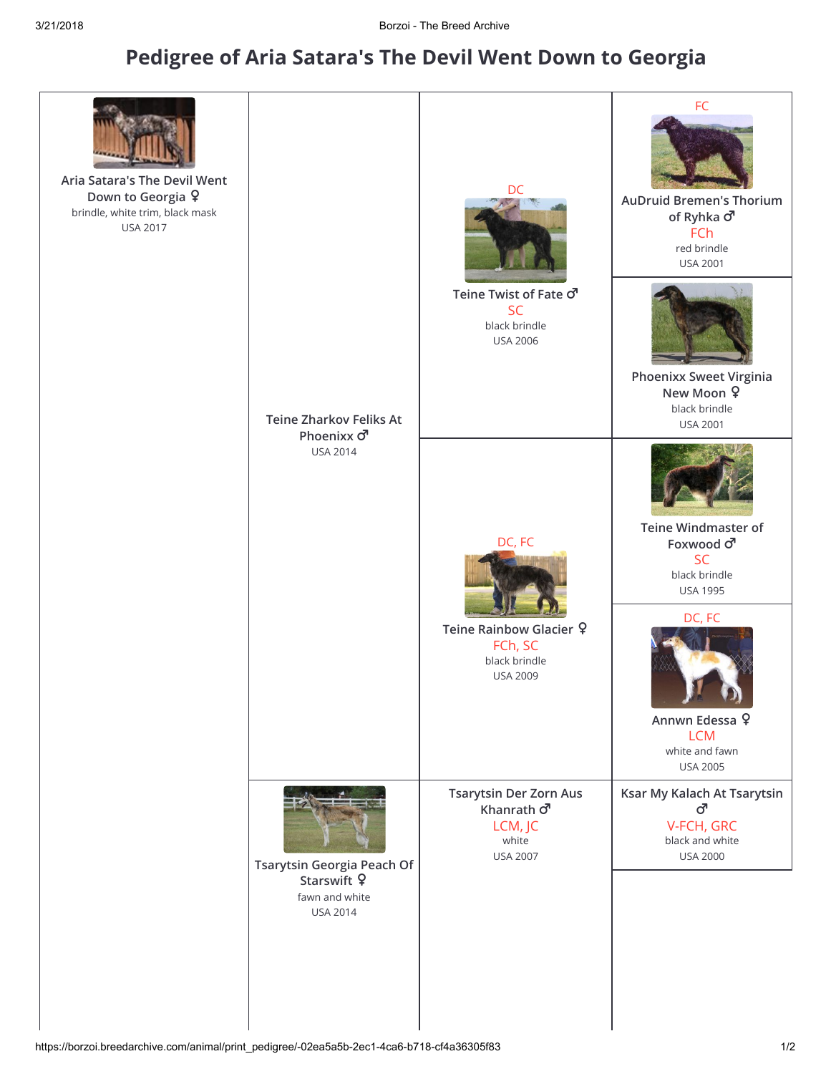## Pedigree of [Aria Satara's The Devil Went Down to Georgia](https://borzoi.breedarchive.com/animal/view/-02ea5a5b-2ec1-4ca6-b718-cf4a36305f83)